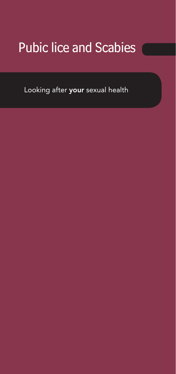# Pubic lice and Scabies

Looking after your sexual health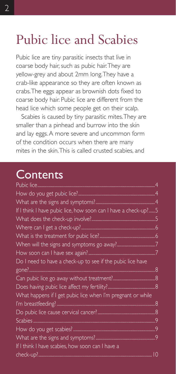# Pubic lice and Scabies

Pubic lice are tiny parasitic insects that live in coarse body hair, such as pubic hair. They are yellow-grey and about 2mm long. They have a crab-like appearance so they are often known as crabs. The eggs appear as brownish dots fixed to coarse body hair. Pubic lice are different from the head lice which some people get on their scalp.

Scabies is caused by tiny parasitic mites. They are smaller than a pinhead and burrow into the skin and lay eggs. A more severe and uncommon form of the condition occurs when there are many mites in the skin. This is called crusted scabies, and

# **Contents**

| If I think I have pubic lice, how soon can I have a check-up?5 |                 |
|----------------------------------------------------------------|-----------------|
|                                                                |                 |
|                                                                |                 |
|                                                                |                 |
|                                                                |                 |
|                                                                |                 |
| Do I need to have a check-up to see if the pubic lice have     |                 |
|                                                                |                 |
|                                                                |                 |
|                                                                |                 |
| What happens if I get pubic lice when I'm pregnant or while    |                 |
|                                                                |                 |
|                                                                |                 |
|                                                                |                 |
|                                                                |                 |
|                                                                |                 |
| If I think I have scabies, how soon can I have a               |                 |
|                                                                | $\overline{10}$ |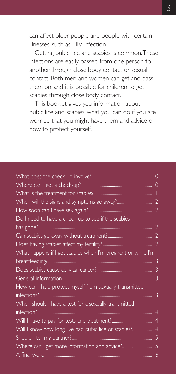can affect older people and people with certain illnesses, such as HIV infection.

Getting pubic lice and scabies is common. These infections are easily passed from one person to another through close body contact or sexual contact. Both men and women can get and pass them on, and it is possible for children to get scabies through close body contact.

This booklet gives you information about pubic lice and scabies, what you can do if you are worried that you might have them and advice on how to protect yourself.

| Do I need to have a check-up to see if the scabies           |  |
|--------------------------------------------------------------|--|
|                                                              |  |
|                                                              |  |
|                                                              |  |
| What happens if I get scabies when I'm pregnant or while I'm |  |
|                                                              |  |
|                                                              |  |
|                                                              |  |
| How can I help protect myself from sexually transmitted      |  |
|                                                              |  |
| When should I have a test for a sexually transmitted         |  |
|                                                              |  |
|                                                              |  |
| Will I know how long I've had pubic lice or scabies? 14      |  |
|                                                              |  |
| Where can I get more information and advice? 15              |  |
|                                                              |  |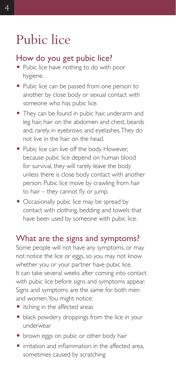# Pubic lice

### How do you get pubic lice?

- Pubic lice have nothing to do with poor hygiene.
- Pubic lice can be passed from one person to another by close body or sexual contact with someone who has pubic lice.
- They can be found in pubic hair, underarm and leg hair, hair on the abdomen and chest, beards and, rarely, in eyebrows and eyelashes. They do not live in the hair on the head.
- Pubic lice can live off the body. However, because pubic lice depend on human blood for survival, they will rarely leave the body unless there is close body contact with another person. Pubic lice move by crawling from hair to hair – they cannot fly or jump.
- Occasionally pubic lice may be spread by contact with clothing, bedding and towels that have been used by someone with pubic lice.

#### What are the signs and symptoms?

Some people will not have any symptoms, or may not notice the lice or eggs, so you may not know whether you or your partner have pubic lice. It can take several weeks after coming into contact with pubic lice before signs and symptoms appear. Signs and symptoms are the same for both men and women. You might notice:

- itching in the affected areas
- black powdery droppings from the lice in your underwear
- brown eggs on pubic or other body hair
- $\bullet$  irritation and inflammation in the affected area, sometimes caused by scratching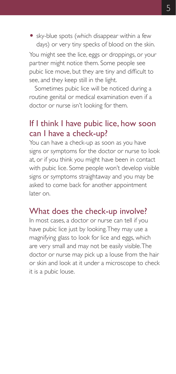• sky-blue spots (which disappear within a few days) or very tiny specks of blood on the skin.

You might see the lice, eggs or droppings, or your partner might notice them. Some people see pubic lice move, but they are tiny and difficult to see, and they keep still in the light.

Sometimes pubic lice will be noticed during a routine genital or medical examination even if a doctor or nurse isn't looking for them.

#### If I think I have pubic lice, how soon can I have a check-up?

You can have a check-up as soon as you have signs or symptoms for the doctor or nurse to look at, or if you think you might have been in contact with pubic lice. Some people won't develop visible signs or symptoms straightaway and you may be asked to come back for another appointment later on.

#### What does the check-up involve?

In most cases, a doctor or nurse can tell if you have pubic lice just by looking. They may use a magnifying glass to look for lice and eggs, which are very small and may not be easily visible. The doctor or nurse may pick up a louse from the hair or skin and look at it under a microscope to check it is a pubic louse.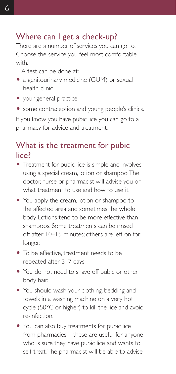### Where can I get a check-up?

There are a number of services you can go to. Choose the service you feel most comfortable with.

A test can be done at:

- a genitourinary medicine (GUM) or sexual health clinic
- your general practice
- some contraception and young people's clinics.

If you know you have pubic lice you can go to a pharmacy for advice and treatment.

### What is the treatment for pubic lice?

- Treatment for pubic lice is simple and involves using a special cream, lotion or shampoo. The doctor, nurse or pharmacist will advise you on what treatment to use and how to use it.
- You apply the cream, lotion or shampoo to the affected area and sometimes the whole body. Lotions tend to be more effective than shampoos. Some treatments can be rinsed off after 10–15 minutes; others are left on for longer.
- $\bullet$  To be effective, treatment needs to be repeated after 3–7 days.
- You do not need to shave off pubic or other body hair.
- You should wash your clothing, bedding and towels in a washing machine on a very hot cycle (50°C or higher) to kill the lice and avoid re-infection.
- You can also buy treatments for pubic lice from pharmacies – these are useful for anyone who is sure they have pubic lice and wants to self-treat. The pharmacist will be able to advise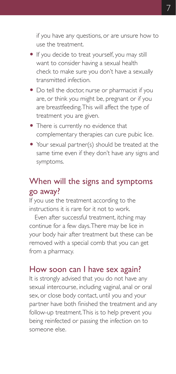if you have any questions, or are unsure how to use the treatment.

- If you decide to treat yourself, you may still want to consider having a sexual health check to make sure you don't have a sexually transmitted infection.
- Do tell the doctor, nurse or pharmacist if you are, or think you might be, pregnant or if you are breastfeeding. This will affect the type of treatment you are given.
- There is currently no evidence that complementary therapies can cure pubic lice.
- Your sexual partner(s) should be treated at the same time even if they don't have any signs and symptoms.

# When will the signs and symptoms go away?

If you use the treatment according to the instructions it is rare for it not to work.

Even after successful treatment, itching may continue for a few days. There may be lice in your body hair after treatment but these can be removed with a special comb that you can get from a pharmacy.

#### How soon can I have sex again?

It is strongly advised that you do not have any sexual intercourse, including vaginal, anal or oral sex, or close body contact, until you and your partner have both finished the treatment and any follow-up treatment. This is to help prevent you being reinfected or passing the infection on to someone else.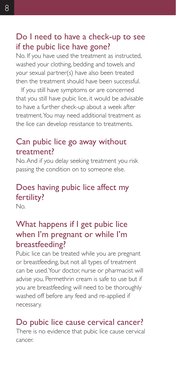#### Do I need to have a check-up to see if the pubic lice have gone?

No. If you have used the treatment as instructed, washed your clothing, bedding and towels and your sexual partner(s) have also been treated then the treatment should have been successful.

If you still have symptoms or are concerned that you still have pubic lice, it would be advisable to have a further check-up about a week after treatment. You may need additional treatment as the lice can develop resistance to treatments.

#### Can pubic lice go away without treatment?

No. And if you delay seeking treatment you risk passing the condition on to someone else.

# Does having pubic lice affect my fertility?

No.

# What happens if I get pubic lice when I'm pregnant or while I'm breastfeeding?

Pubic lice can be treated while you are pregnant or breastfeeding, but not all types of treatment can be used. Your doctor, nurse or pharmacist will advise you. Permethrin cream is safe to use but if you are breastfeeding will need to be thoroughly washed off before any feed and re-applied if necessary.

### Do pubic lice cause cervical cancer?

There is no evidence that pubic lice cause cervical cancer.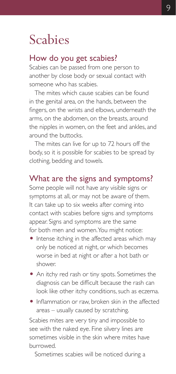# Scabies

#### How do you get scabies?

Scabies can be passed from one person to another by close body or sexual contact with someone who has scabies.

The mites which cause scabies can be found in the genital area, on the hands, between the fingers, on the wrists and elbows, underneath the arms, on the abdomen, on the breasts, around the nipples in women, on the feet and ankles, and around the buttocks.

The mites can live for up to 72 hours off the body, so it is possible for scabies to be spread by clothing, bedding and towels.

#### What are the signs and symptoms?

Some people will not have any visible signs or symptoms at all, or may not be aware of them. It can take up to six weeks after coming into contact with scabies before signs and symptoms appear. Signs and symptoms are the same for both men and women. You might notice:

- Intense itching in the affected areas which may only be noticed at night, or which becomes worse in bed at night or after a hot bath or shower.
- An itchy red rash or tiny spots. Sometimes the diagnosis can be difficult because the rash can look like other itchy conditions, such as eczema.
- Inflammation or raw, broken skin in the affected areas – usually caused by scratching.

Scabies mites are very tiny and impossible to see with the naked eye. Fine silvery lines are sometimes visible in the skin where mites have burrowed.

Sometimes scabies will be noticed during a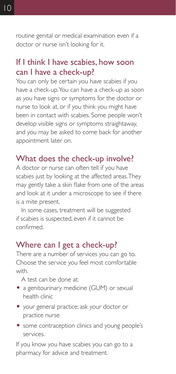routine genital or medical examination even if a doctor or nurse isn't looking for it.

### If I think I have scabies, how soon can I have a check-up?

You can only be certain you have scabies if you have a check-up. You can have a check-up as soon as you have signs or symptoms for the doctor or nurse to look at, or if you think you might have been in contact with scabies. Some people won't develop visible signs or symptoms straightaway, and you may be asked to come back for another appointment later on.

# What does the check-up involve?

A doctor or nurse can often tell if you have scabies just by looking at the affected areas. They may gently take a skin flake from one of the areas and look at it under a microscope to see if there is a mite present.

In some cases, treatment will be suggested if scabies is suspected, even if it cannot be confirmed.

#### Where can I get a check-up?

There are a number of services you can go to. Choose the service you feel most comfortable with.

- A test can be done at:
- a genitourinary medicine (GUM) or sexual health clinic
- O your general practice; ask your doctor or practice nurse
- O some contraception clinics and young people's services.

If you know you have scabies you can go to a pharmacy for advice and treatment.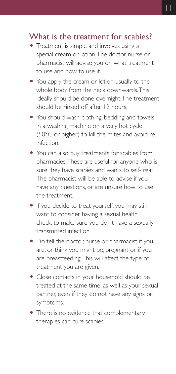#### What is the treatment for scabies?

- Treatment is simple and involves using a special cream or lotion. The doctor, nurse or pharmacist will advise you on what treatment to use and how to use it.
- You apply the cream or lotion usually to the whole body from the neck downwards. This ideally should be done overnight. The treatment should be rinsed off after 12 hours.
- You should wash clothing, bedding and towels in a washing machine on a very hot cycle (50°C or higher) to kill the mites and avoid reinfection.
- You can also buy treatments for scabies from pharmacies. These are useful for anyone who is sure they have scabies and wants to self-treat. The pharmacist will be able to advise if you have any questions, or are unsure how to use the treatment.
- O If you decide to treat yourself, you may still want to consider having a sexual health check, to make sure you don't have a sexually transmitted infection.
- Do tell the doctor, nurse or pharmacist if you are, or think you might be, pregnant or if you are breastfeeding. This will affect the type of treatment you are given.
- Close contacts in your household should be treated at the same time, as well as your sexual partner, even if they do not have any signs or symptoms.
- There is no evidence that complementary therapies can cure scabies.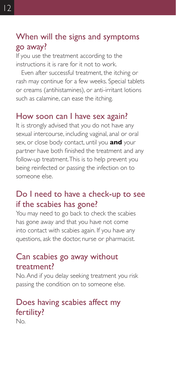#### When will the signs and symptoms go away?

If you use the treatment according to the instructions it is rare for it not to work.

Even after successful treatment, the itching or rash may continue for a few weeks. Special tablets or creams (antihistamines), or anti-irritant lotions such as calamine, can ease the itching.

#### How soon can I have sex again?

It is strongly advised that you do not have any sexual intercourse, including vaginal, anal or oral sex, or close body contact, until you **and** your partner have both finished the treatment and any follow-up treatment. This is to help prevent you being reinfected or passing the infection on to someone else.

#### Do I need to have a check-up to see if the scabies has gone?

You may need to go back to check the scabies has gone away and that you have not come into contact with scabies again. If you have any questions, ask the doctor, nurse or pharmacist.

#### Can scabies go away without treatment?

No. And if you delay seeking treatment you risk passing the condition on to someone else.

# Does having scabies affect my fertility?

No.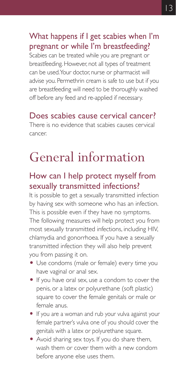## What happens if I get scabies when I'm pregnant or while I'm breastfeeding?

Scabies can be treated while you are pregnant or breastfeeding. However, not all types of treatment can be used. Your doctor, nurse or pharmacist will advise you. Permethrin cream is safe to use but if you are breastfeeding will need to be thoroughly washed off before any feed and re-applied if necessary.

#### Does scabies cause cervical cancer? There is no evidence that scabies causes cervical cancer.

# General information

# How can I help protect myself from sexually transmitted infections?

It is possible to get a sexually transmitted infection by having sex with someone who has an infection. This is possible even if they have no symptoms. The following measures will help protect you from most sexually transmitted infections, including HIV, chlamydia and gonorrhoea. If you have a sexually transmitted infection they will also help prevent you from passing it on.

- Use condoms (male or female) every time you have vaginal or anal sex.
- If you have oral sex, use a condom to cover the penis, or a latex or polyurethane (soft plastic) square to cover the female genitals or male or female anus.
- O If you are a woman and rub your vulva against your female partner's vulva one of you should cover the genitals with a latex or polyurethane square.
- Avoid sharing sex toys. If you do share them, wash them or cover them with a new condom before anyone else uses them.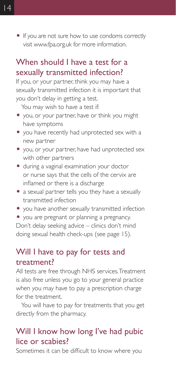• If you are not sure how to use condoms correctly visit www.fpa.org.uk for more information.

#### When should I have a test for a sexually transmitted infection?

If you, or your partner, think you may have a sexually transmitted infection it is important that you don't delay in getting a test.

You may wish to have a test if:

- you, or your partner, have or think you might have symptoms
- O you have recently had unprotected sex with a new partner
- O you, or your partner, have had unprotected sex with other partners
- $\bullet$  during a vaginal examination your doctor or nurse says that the cells of the cervix are inflamed or there is a discharge
- a sexual partner tells you they have a sexually transmitted infection
- you have another sexually transmitted infection
- you are pregnant or planning a pregnancy.

Don't delay seeking advice – clinics don't mind doing sexual health check-ups (see page 15).

#### Will I have to pay for tests and treatment?

All tests are free through NHS services. Treatment is also free unless you go to your general practice when you may have to pay a prescription charge for the treatment.

You will have to pay for treatments that you get directly from the pharmacy.

### Will I know how long I've had pubic lice or scabies?

Sometimes it can be difficult to know where you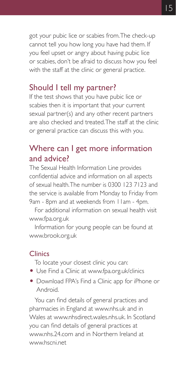got your pubic lice or scabies from. The check-up cannot tell you how long you have had them. If you feel upset or angry about having pubic lice or scabies, don't be afraid to discuss how you feel with the staff at the clinic or general practice.

#### Should I tell my partner?

If the test shows that you have pubic lice or scabies then it is important that your current sexual partner(s) and any other recent partners are also checked and treated. The staff at the clinic or general practice can discuss this with you.

### Where can I get more information and advice?

The Sexual Health Information Line provides confidential advice and information on all aspects of sexual health. The number is 0300 123 7123 and the service is available from Monday to Friday from 9am - 8pm and at weekends from 11am - 4pm.

For additional information on sexual health visit www.fpa.org.uk

Information for young people can be found at www.brook.org.uk

#### **Clinics**

To locate your closest clinic you can:

- Use Find a Clinic at www.fpa.org.uk/clinics
- Download FPA's Find a Clinic app for iPhone or Android.

You can find details of general practices and pharmacies in England at www.nhs.uk and in Wales at www.nhsdirect.wales.nhs.uk. In Scotland you can find details of general practices at www.nhs.24.com and in Northern Ireland at www.hscni.net